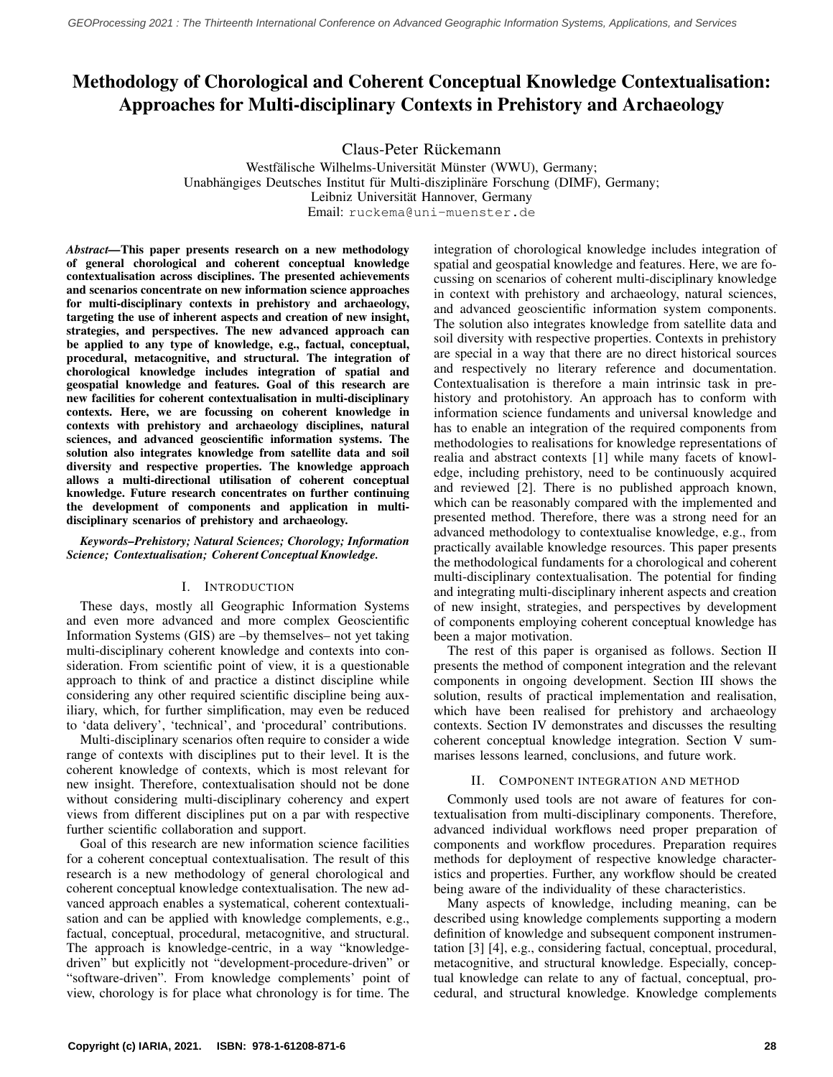# Methodology of Chorological and Coherent Conceptual Knowledge Contextualisation: Approaches for Multi-disciplinary Contexts in Prehistory and Archaeology

Claus-Peter Rückemann

Westfälische Wilhelms-Universität Münster (WWU), Germany; Unabhängiges Deutsches Institut für Multi-disziplinäre Forschung (DIMF), Germany; Leibniz Universität Hannover, Germany Email: ruckema@uni-muenster.de

*Abstract—*This paper presents research on a new methodology of general chorological and coherent conceptual knowledge contextualisation across disciplines. The presented achievements and scenarios concentrate on new information science approaches for multi-disciplinary contexts in prehistory and archaeology, targeting the use of inherent aspects and creation of new insight, strategies, and perspectives. The new advanced approach can be applied to any type of knowledge, e.g., factual, conceptual, procedural, metacognitive, and structural. The integration of chorological knowledge includes integration of spatial and geospatial knowledge and features. Goal of this research are new facilities for coherent contextualisation in multi-disciplinary contexts. Here, we are focussing on coherent knowledge in contexts with prehistory and archaeology disciplines, natural sciences, and advanced geoscientific information systems. The solution also integrates knowledge from satellite data and soil diversity and respective properties. The knowledge approach allows a multi-directional utilisation of coherent conceptual knowledge. Future research concentrates on further continuing the development of components and application in multidisciplinary scenarios of prehistory and archaeology.

### *Keywords–Prehistory; Natural Sciences; Chorology; Information Science; Contextualisation; Coherent Conceptual Knowledge.*

# I. INTRODUCTION

These days, mostly all Geographic Information Systems and even more advanced and more complex Geoscientific Information Systems (GIS) are –by themselves– not yet taking multi-disciplinary coherent knowledge and contexts into consideration. From scientific point of view, it is a questionable approach to think of and practice a distinct discipline while considering any other required scientific discipline being auxiliary, which, for further simplification, may even be reduced to 'data delivery', 'technical', and 'procedural' contributions.

Multi-disciplinary scenarios often require to consider a wide range of contexts with disciplines put to their level. It is the coherent knowledge of contexts, which is most relevant for new insight. Therefore, contextualisation should not be done without considering multi-disciplinary coherency and expert views from different disciplines put on a par with respective further scientific collaboration and support.

Goal of this research are new information science facilities for a coherent conceptual contextualisation. The result of this research is a new methodology of general chorological and coherent conceptual knowledge contextualisation. The new advanced approach enables a systematical, coherent contextualisation and can be applied with knowledge complements, e.g., factual, conceptual, procedural, metacognitive, and structural. The approach is knowledge-centric, in a way "knowledgedriven" but explicitly not "development-procedure-driven" or "software-driven". From knowledge complements' point of view, chorology is for place what chronology is for time. The integration of chorological knowledge includes integration of spatial and geospatial knowledge and features. Here, we are focussing on scenarios of coherent multi-disciplinary knowledge in context with prehistory and archaeology, natural sciences, and advanced geoscientific information system components. The solution also integrates knowledge from satellite data and soil diversity with respective properties. Contexts in prehistory are special in a way that there are no direct historical sources and respectively no literary reference and documentation. Contextualisation is therefore a main intrinsic task in prehistory and protohistory. An approach has to conform with information science fundaments and universal knowledge and has to enable an integration of the required components from methodologies to realisations for knowledge representations of realia and abstract contexts [\[1\]](#page-5-0) while many facets of knowledge, including prehistory, need to be continuously acquired and reviewed [\[2\]](#page-5-1). There is no published approach known, which can be reasonably compared with the implemented and presented method. Therefore, there was a strong need for an advanced methodology to contextualise knowledge, e.g., from practically available knowledge resources. This paper presents the methodological fundaments for a chorological and coherent multi-disciplinary contextualisation. The potential for finding and integrating multi-disciplinary inherent aspects and creation of new insight, strategies, and perspectives by development of components employing coherent conceptual knowledge has been a major motivation.

The rest of this paper is organised as follows. Section II presents the method of component integration and the relevant components in ongoing development. Section III shows the solution, results of practical implementation and realisation, which have been realised for prehistory and archaeology contexts. Section IV demonstrates and discusses the resulting coherent conceptual knowledge integration. Section V summarises lessons learned, conclusions, and future work.

# II. COMPONENT INTEGRATION AND METHOD

Commonly used tools are not aware of features for contextualisation from multi-disciplinary components. Therefore, advanced individual workflows need proper preparation of components and workflow procedures. Preparation requires methods for deployment of respective knowledge characteristics and properties. Further, any workflow should be created being aware of the individuality of these characteristics.

Many aspects of knowledge, including meaning, can be described using knowledge complements supporting a modern definition of knowledge and subsequent component instrumentation [\[3\]](#page-5-2) [\[4\]](#page-5-3), e.g., considering factual, conceptual, procedural, metacognitive, and structural knowledge. Especially, conceptual knowledge can relate to any of factual, conceptual, procedural, and structural knowledge. Knowledge complements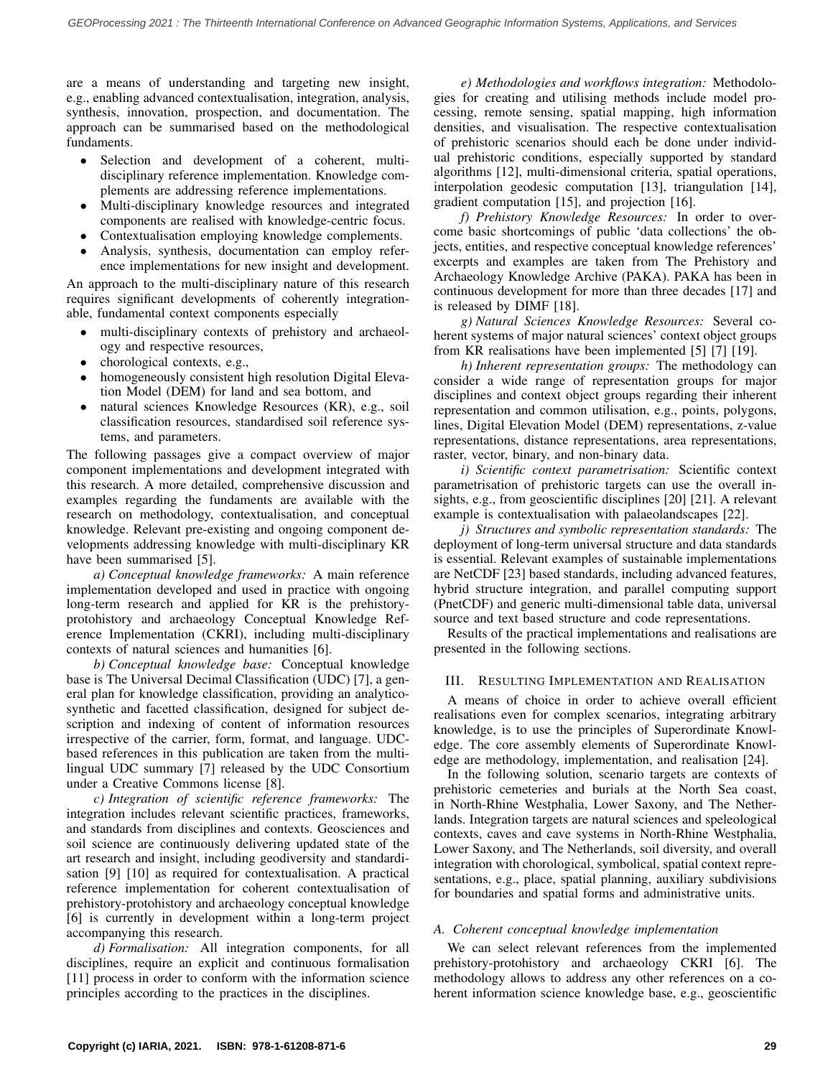are a means of understanding and targeting new insight, e.g., enabling advanced contextualisation, integration, analysis, synthesis, innovation, prospection, and documentation. The approach can be summarised based on the methodological fundaments.

- Selection and development of a coherent, multidisciplinary reference implementation. Knowledge complements are addressing reference implementations.
- Multi-disciplinary knowledge resources and integrated components are realised with knowledge-centric focus.
- Contextualisation employing knowledge complements.
- Analysis, synthesis, documentation can employ reference implementations for new insight and development.

An approach to the multi-disciplinary nature of this research requires significant developments of coherently integrationable, fundamental context components especially

- multi-disciplinary contexts of prehistory and archaeology and respective resources,
- chorological contexts, e.g.,
- homogeneously consistent high resolution Digital Elevation Model (DEM) for land and sea bottom, and
- natural sciences Knowledge Resources (KR), e.g., soil classification resources, standardised soil reference systems, and parameters.

The following passages give a compact overview of major component implementations and development integrated with this research. A more detailed, comprehensive discussion and examples regarding the fundaments are available with the research on methodology, contextualisation, and conceptual knowledge. Relevant pre-existing and ongoing component developments addressing knowledge with multi-disciplinary KR have been summarised [\[5\]](#page-5-4).

*a) Conceptual knowledge frameworks:* A main reference implementation developed and used in practice with ongoing long-term research and applied for KR is the prehistoryprotohistory and archaeology Conceptual Knowledge Reference Implementation (CKRI), including multi-disciplinary contexts of natural sciences and humanities [\[6\]](#page-5-5).

*b) Conceptual knowledge base:* Conceptual knowledge base is The Universal Decimal Classification (UDC) [\[7\]](#page-5-6), a general plan for knowledge classification, providing an analyticosynthetic and facetted classification, designed for subject description and indexing of content of information resources irrespective of the carrier, form, format, and language. UDCbased references in this publication are taken from the multilingual UDC summary [\[7\]](#page-5-6) released by the UDC Consortium under a Creative Commons license [\[8\]](#page-5-7).

*c) Integration of scientific reference frameworks:* The integration includes relevant scientific practices, frameworks, and standards from disciplines and contexts. Geosciences and soil science are continuously delivering updated state of the art research and insight, including geodiversity and standardisation [\[9\]](#page-5-8) [\[10\]](#page-5-9) as required for contextualisation. A practical reference implementation for coherent contextualisation of prehistory-protohistory and archaeology conceptual knowledge [\[6\]](#page-5-5) is currently in development within a long-term project accompanying this research.

*d) Formalisation:* All integration components, for all disciplines, require an explicit and continuous formalisation [\[11\]](#page-5-10) process in order to conform with the information science principles according to the practices in the disciplines.

*e) Methodologies and workflows integration:* Methodologies for creating and utilising methods include model processing, remote sensing, spatial mapping, high information densities, and visualisation. The respective contextualisation of prehistoric scenarios should each be done under individual prehistoric conditions, especially supported by standard algorithms [\[12\]](#page-5-11), multi-dimensional criteria, spatial operations, interpolation geodesic computation [\[13\]](#page-5-12), triangulation [\[14\]](#page-5-13), gradient computation [\[15\]](#page-5-14), and projection [\[16\]](#page-5-15).

*f) Prehistory Knowledge Resources:* In order to overcome basic shortcomings of public 'data collections' the objects, entities, and respective conceptual knowledge references' excerpts and examples are taken from The Prehistory and Archaeology Knowledge Archive (PAKA). PAKA has been in continuous development for more than three decades [\[17\]](#page-5-16) and is released by DIMF [\[18\]](#page-5-17).

*g) Natural Sciences Knowledge Resources:* Several coherent systems of major natural sciences' context object groups from KR realisations have been implemented [\[5\]](#page-5-4) [\[7\]](#page-5-6) [\[19\]](#page-5-18).

*h) Inherent representation groups:* The methodology can consider a wide range of representation groups for major disciplines and context object groups regarding their inherent representation and common utilisation, e.g., points, polygons, lines, Digital Elevation Model (DEM) representations, z-value representations, distance representations, area representations, raster, vector, binary, and non-binary data.

*i) Scientific context parametrisation:* Scientific context parametrisation of prehistoric targets can use the overall insights, e.g., from geoscientific disciplines [\[20\]](#page-5-19) [\[21\]](#page-5-20). A relevant example is contextualisation with palaeolandscapes [\[22\]](#page-5-21).

*j) Structures and symbolic representation standards:* The deployment of long-term universal structure and data standards is essential. Relevant examples of sustainable implementations are NetCDF [\[23\]](#page-5-22) based standards, including advanced features, hybrid structure integration, and parallel computing support (PnetCDF) and generic multi-dimensional table data, universal source and text based structure and code representations.

Results of the practical implementations and realisations are presented in the following sections.

# III. RESULTING IMPLEMENTATION AND REALISATION

A means of choice in order to achieve overall efficient realisations even for complex scenarios, integrating arbitrary knowledge, is to use the principles of Superordinate Knowledge. The core assembly elements of Superordinate Knowledge are methodology, implementation, and realisation [\[24\]](#page-5-23).

In the following solution, scenario targets are contexts of prehistoric cemeteries and burials at the North Sea coast, in North-Rhine Westphalia, Lower Saxony, and The Netherlands. Integration targets are natural sciences and speleological contexts, caves and cave systems in North-Rhine Westphalia, Lower Saxony, and The Netherlands, soil diversity, and overall integration with chorological, symbolical, spatial context representations, e.g., place, spatial planning, auxiliary subdivisions for boundaries and spatial forms and administrative units.

# *A. Coherent conceptual knowledge implementation*

We can select relevant references from the implemented prehistory-protohistory and archaeology CKRI [\[6\]](#page-5-5). The methodology allows to address any other references on a coherent information science knowledge base, e.g., geoscientific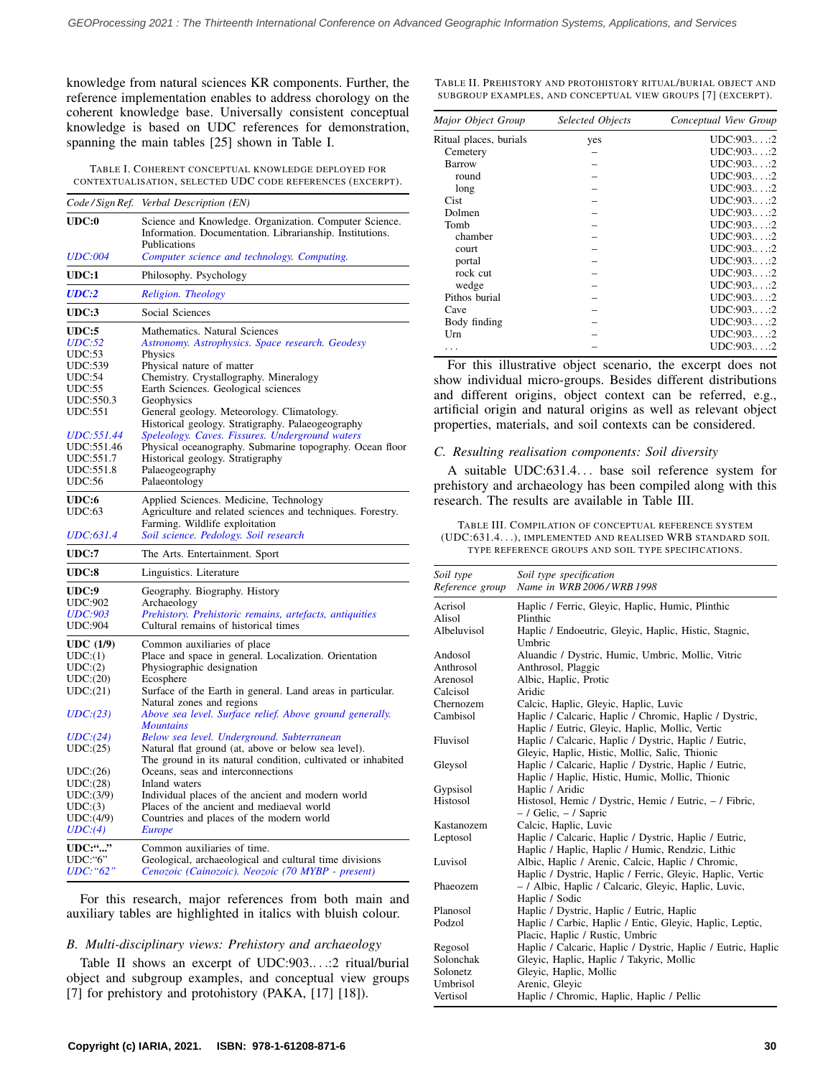knowledge from natural sciences KR components. Further, the reference implementation enables to address chorology on the coherent knowledge base. Universally consistent conceptual knowledge is based on UDC references for demonstration, spanning the main tables [\[25\]](#page-5-24) shown in Table [I.](#page-2-0)

<span id="page-2-0"></span>TABLE I. COHERENT CONCEPTUAL KNOWLEDGE DEPLOYED FOR CONTEXTUALISATION, SELECTED UDC CODE REFERENCES (EXCERPT).

|                                                    | Code/Sign Ref. Verbal Description (EN)                                                                                                                                            |
|----------------------------------------------------|-----------------------------------------------------------------------------------------------------------------------------------------------------------------------------------|
| $\mathbf{UDC:}\mathbf{0}$<br><i><b>UDC:004</b></i> | Science and Knowledge. Organization. Computer Science.<br>Information. Documentation. Librarianship. Institutions.<br>Publications<br>Computer science and technology. Computing. |
| UDC:1                                              | Philosophy. Psychology                                                                                                                                                            |
| <b>UDC:2</b>                                       | Religion. Theology                                                                                                                                                                |
| UDC:3                                              | Social Sciences                                                                                                                                                                   |
| UDC:5                                              | Mathematics. Natural Sciences                                                                                                                                                     |
| <i>UDC:52</i>                                      | Astronomy. Astrophysics. Space research. Geodesy                                                                                                                                  |
| UDC:53                                             | Physics                                                                                                                                                                           |
| UDC:539                                            | Physical nature of matter                                                                                                                                                         |
|                                                    |                                                                                                                                                                                   |
| UDC:54                                             | Chemistry. Crystallography. Mineralogy                                                                                                                                            |
| UDC:55                                             | Earth Sciences. Geological sciences                                                                                                                                               |
| UDC:550.3                                          | Geophysics                                                                                                                                                                        |
| <b>UDC:551</b>                                     | General geology. Meteorology. Climatology.<br>Historical geology. Stratigraphy. Palaeogeography                                                                                   |
| UDC:551.44                                         | Speleology. Caves. Fissures. Underground waters                                                                                                                                   |
| UDC:551.46                                         | Physical oceanography. Submarine topography. Ocean floor                                                                                                                          |
| UDC:551.7                                          | Historical geology. Stratigraphy                                                                                                                                                  |
| UDC:551.8                                          | Palaeogeography                                                                                                                                                                   |
| <b>UDC:56</b>                                      | Palaeontology                                                                                                                                                                     |
| UDC:6                                              | Applied Sciences. Medicine, Technology                                                                                                                                            |
| UDC:63                                             | Agriculture and related sciences and techniques. Forestry.                                                                                                                        |
|                                                    | Farming. Wildlife exploitation                                                                                                                                                    |
| UDC:631.4                                          | Soil science. Pedology. Soil research                                                                                                                                             |
| <b>UDC:7</b>                                       | The Arts. Entertainment. Sport                                                                                                                                                    |
| UDC:8                                              | Linguistics. Literature                                                                                                                                                           |
|                                                    |                                                                                                                                                                                   |
| UDC:9                                              | Geography. Biography. History                                                                                                                                                     |
| <b>UDC:902</b>                                     | Archaeology                                                                                                                                                                       |
| <b>UDC:903</b>                                     | Prehistory. Prehistoric remains, artefacts, antiquities                                                                                                                           |
| <b>UDC:904</b>                                     | Cultural remains of historical times                                                                                                                                              |
|                                                    |                                                                                                                                                                                   |
| UDC(1/9)<br>UDC:(1)                                | Common auxiliaries of place                                                                                                                                                       |
|                                                    | Place and space in general. Localization. Orientation                                                                                                                             |
| UDC:(2)                                            | Physiographic designation                                                                                                                                                         |
| UDC:(20)                                           | Ecosphere                                                                                                                                                                         |
| UDC:(21)                                           | Surface of the Earth in general. Land areas in particular.                                                                                                                        |
| UDC:(23)                                           | Natural zones and regions<br>Above sea level. Surface relief. Above ground generally.                                                                                             |
|                                                    | <b>Mountains</b>                                                                                                                                                                  |
| UDC:(24)                                           | Below sea level. Underground. Subterranean                                                                                                                                        |
| UDC:(25)                                           | Natural flat ground (at, above or below sea level).<br>The ground in its natural condition, cultivated or inhabited                                                               |
|                                                    | Oceans, seas and interconnections                                                                                                                                                 |
| UDC:(26)                                           | Inland waters                                                                                                                                                                     |
| UDC:(28)                                           |                                                                                                                                                                                   |
| UDC:(3/9)                                          | Individual places of the ancient and modern world                                                                                                                                 |
| UDC:(3)                                            | Places of the ancient and mediaeval world                                                                                                                                         |
| UDC:(4/9)                                          | Countries and places of the modern world                                                                                                                                          |
| UDC:(4)                                            | <b>Europe</b>                                                                                                                                                                     |
| <b>UDC:""</b>                                      | Common auxiliaries of time.                                                                                                                                                       |
| $UDC$ :" $6$ "                                     | Geological, archaeological and cultural time divisions                                                                                                                            |
| UDC:"62"                                           | Cenozoic (Cainozoic). Neozoic (70 MYBP - present)                                                                                                                                 |

For this research, major references from both main and auxiliary tables are highlighted in italics with bluish colour.

### *B. Multi-disciplinary views: Prehistory and archaeology*

Table [II](#page-2-1) shows an excerpt of UDC:903.. . .:2 ritual/burial object and subgroup examples, and conceptual view groups [\[7\]](#page-5-6) for prehistory and protohistory (PAKA, [\[17\]](#page-5-16) [\[18\]](#page-5-17)).

<span id="page-2-1"></span>TABLE II. PREHISTORY AND PROTOHISTORY RITUAL/BURIAL OBJECT AND SUBGROUP EXAMPLES, AND CONCEPTUAL VIEW GROUPS [\[7\]](#page-5-6) (EXCERPT).

| Major Object Group     | Selected Objects | Conceptual View Group |
|------------------------|------------------|-----------------------|
| Ritual places, burials | yes              | UDC:903::2            |
| Cemetery               |                  | UDC:903::2            |
| <b>Barrow</b>          |                  | UDC:903::2            |
| round                  |                  | UDC:903::2            |
| long                   |                  | UDC:903::2            |
| Cist                   |                  | UDC:903::2            |
| Dolmen                 |                  | UDC:903::2            |
| Tomb                   |                  | UDC:903::2            |
| chamber                |                  | UDC:903::2            |
| <b>court</b>           |                  | UDC:903::2            |
| portal                 |                  | UDC:903::2            |
| rock cut               |                  | UDC:903::2            |
| wedge                  |                  | UDC:903::2            |
| Pithos burial          |                  | UDC:903::2            |
| Cave                   |                  | UDC:903::2            |
| Body finding           |                  | UDC:903::2            |
| Urn                    |                  | UDC:903::2            |
|                        |                  | UDC:903::2            |
|                        |                  |                       |

For this illustrative object scenario, the excerpt does not show individual micro-groups. Besides different distributions and different origins, object context can be referred, e.g., artificial origin and natural origins as well as relevant object properties, materials, and soil contexts can be considered.

#### *C. Resulting realisation components: Soil diversity*

A suitable UDC:631.4... base soil reference system for prehistory and archaeology has been compiled along with this research. The results are available in Table [III.](#page-2-2)

<span id="page-2-2"></span>TABLE III. COMPILATION OF CONCEPTUAL REFERENCE SYSTEM (UDC:631.4. . .), IMPLEMENTED AND REALISED WRB STANDARD SOIL TYPE REFERENCE GROUPS AND SOIL TYPE SPECIFICATIONS.

| Soil type       | Soil type specification                                      |
|-----------------|--------------------------------------------------------------|
| Reference group | Name in WRB 2006/WRB 1998                                    |
| Acrisol         | Haplic / Ferric, Gleyic, Haplic, Humic, Plinthic             |
| Alisol          | Plinthic                                                     |
| Albeluvisol     | Haplic / Endoeutric, Gleyic, Haplic, Histic, Stagnic,        |
|                 | Umbric                                                       |
| Andosol         | Aluandic / Dystric, Humic, Umbric, Mollic, Vitric            |
| Anthrosol       | Anthrosol, Plaggic                                           |
| Arenosol        | Albic, Haplic, Protic                                        |
| Calcisol        | Aridic                                                       |
| Chernozem       | Calcic, Haplic, Gleyic, Haplic, Luvic                        |
| Cambisol        | Haplic / Calcaric, Haplic / Chromic, Haplic / Dystric,       |
|                 | Haplic / Eutric, Gleyic, Haplic, Mollic, Vertic              |
| Fluvisol        | Haplic / Calcaric, Haplic / Dystric, Haplic / Eutric,        |
|                 | Gleyic, Haplic, Histic, Mollic, Salic, Thionic               |
| Gleysol         | Haplic / Calcaric, Haplic / Dystric, Haplic / Eutric,        |
|                 | Haplic / Haplic, Histic, Humic, Mollic, Thionic              |
| Gypsisol        | Haplic / Aridic                                              |
| Histosol        | Histosol, Hemic / Dystric, Hemic / Eutric, - / Fibric,       |
|                 | $-$ / Gelic, $-$ / Sapric                                    |
| Kastanozem      | Calcic, Haplic, Luvic                                        |
| Leptosol        | Haplic / Calcaric, Haplic / Dystric, Haplic / Eutric,        |
|                 | Haplic / Haplic, Haplic / Humic, Rendzic, Lithic             |
| Luvisol         | Albic, Haplic / Arenic, Calcic, Haplic / Chromic,            |
|                 | Haplic / Dystric, Haplic / Ferric, Gleyic, Haplic, Vertic    |
| Phaeozem        | - / Albic, Haplic / Calcaric, Gleyic, Haplic, Luvic,         |
|                 | Haplic / Sodic                                               |
| Planosol        | Haplic / Dystric, Haplic / Eutric, Haplic                    |
| Podzol          | Haplic / Carbic, Haplic / Entic, Gleyic, Haplic, Leptic,     |
|                 | Placic, Haplic / Rustic, Umbric                              |
| Regosol         | Haplic / Calcaric, Haplic / Dystric, Haplic / Eutric, Haplic |
| Solonchak       | Gleyic, Haplic, Haplic / Takyric, Mollic                     |
| Solonetz        | Gleyic, Haplic, Mollic                                       |
| Umbrisol        | Arenic, Glevic                                               |
| Vertisol        | Haplic / Chromic, Haplic, Haplic / Pellic                    |
|                 |                                                              |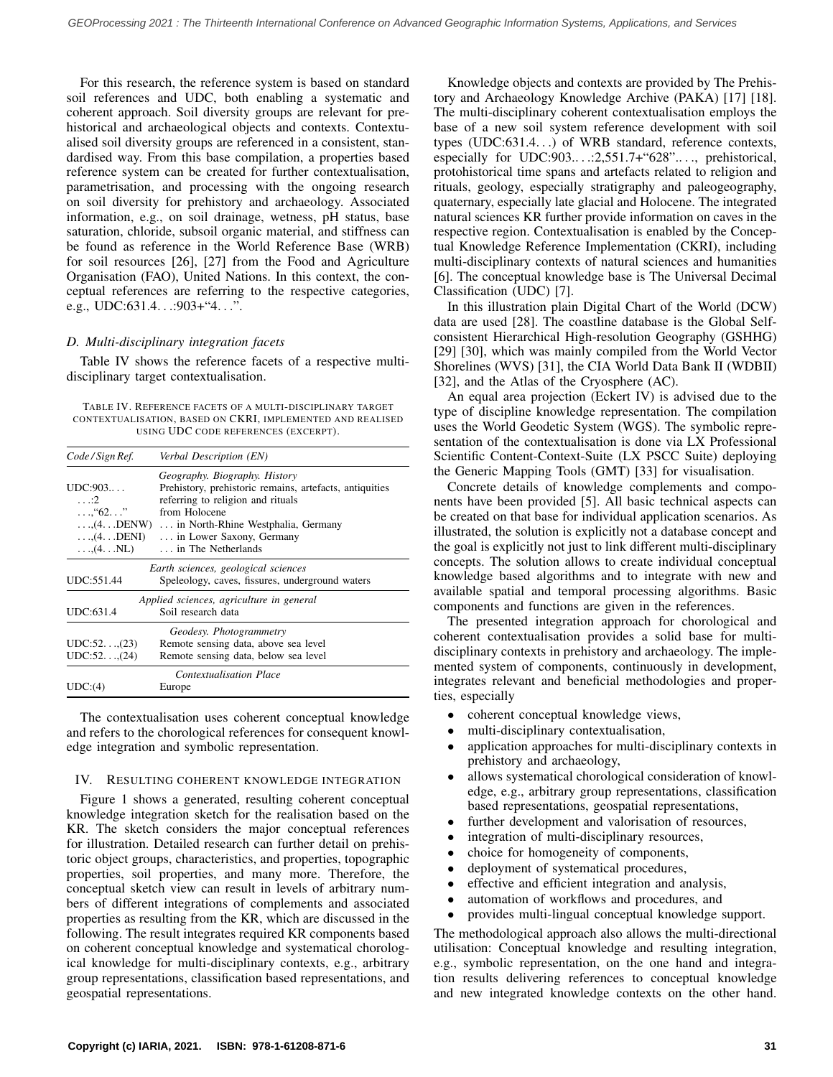For this research, the reference system is based on standard soil references and UDC, both enabling a systematic and coherent approach. Soil diversity groups are relevant for prehistorical and archaeological objects and contexts. Contextualised soil diversity groups are referenced in a consistent, standardised way. From this base compilation, a properties based reference system can be created for further contextualisation, parametrisation, and processing with the ongoing research on soil diversity for prehistory and archaeology. Associated information, e.g., on soil drainage, wetness, pH status, base saturation, chloride, subsoil organic material, and stiffness can be found as reference in the World Reference Base (WRB) for soil resources [\[26\]](#page-5-25), [\[27\]](#page-5-26) from the Food and Agriculture Organisation (FAO), United Nations. In this context, the conceptual references are referring to the respective categories, e.g., UDC:631.4. . .:903+"4. . .".

# *D. Multi-disciplinary integration facets*

Table [IV](#page-3-0) shows the reference facets of a respective multidisciplinary target contextualisation.

<span id="page-3-0"></span>TABLE IV. REFERENCE FACETS OF A MULTI-DISCIPLINARY TARGET CONTEXTUALISATION, BASED ON CKRI, IMPLEMENTED AND REALISED USING UDC CODE REFERENCES (EXCERPT).

| Code / Sign Ref.                                                                                                | Verbal Description (EN)                                                                                                                                                                                                                            |
|-----------------------------------------------------------------------------------------------------------------|----------------------------------------------------------------------------------------------------------------------------------------------------------------------------------------------------------------------------------------------------|
| UDC:903<br>$\ldots$ : 2<br>$\ldots$ "62. $\ldots$ "<br>$\ldots$ , $(4. \ldots$ DENI)<br>$\dots$ (4. $\dots$ NL) | Geography. Biography. History<br>Prehistory, prehistoric remains, artefacts, antiquities<br>referring to religion and rituals<br>from Holocene<br>, (4 DENW)  in North-Rhine Westphalia, Germany<br>in Lower Saxony, Germany<br>in The Netherlands |
| UDC:551.44                                                                                                      | Earth sciences, geological sciences<br>Speleology, caves, fissures, underground waters                                                                                                                                                             |
| UDC:631.4                                                                                                       | Applied sciences, agriculture in general<br>Soil research data                                                                                                                                                                                     |
| UDC:52 (23)<br>UDC:52,(24)                                                                                      | Geodesy. Photogrammetry<br>Remote sensing data, above sea level<br>Remote sensing data, below sea level                                                                                                                                            |
| UDC: (4)                                                                                                        | <b>Contextualisation Place</b><br>Europe                                                                                                                                                                                                           |

The contextualisation uses coherent conceptual knowledge and refers to the chorological references for consequent knowledge integration and symbolic representation.

### IV. RESULTING COHERENT KNOWLEDGE INTEGRATION

Figure [1](#page-4-0) shows a generated, resulting coherent conceptual knowledge integration sketch for the realisation based on the KR. The sketch considers the major conceptual references for illustration. Detailed research can further detail on prehistoric object groups, characteristics, and properties, topographic properties, soil properties, and many more. Therefore, the conceptual sketch view can result in levels of arbitrary numbers of different integrations of complements and associated properties as resulting from the KR, which are discussed in the following. The result integrates required KR components based on coherent conceptual knowledge and systematical chorological knowledge for multi-disciplinary contexts, e.g., arbitrary group representations, classification based representations, and geospatial representations.

Knowledge objects and contexts are provided by The Prehistory and Archaeology Knowledge Archive (PAKA) [\[17\]](#page-5-16) [\[18\]](#page-5-17). The multi-disciplinary coherent contextualisation employs the base of a new soil system reference development with soil types (UDC:631.4. . .) of WRB standard, reference contexts, especially for UDC:903.. . .:2,551.7+"628".. . ., prehistorical, protohistorical time spans and artefacts related to religion and rituals, geology, especially stratigraphy and paleogeography, quaternary, especially late glacial and Holocene. The integrated natural sciences KR further provide information on caves in the respective region. Contextualisation is enabled by the Conceptual Knowledge Reference Implementation (CKRI), including multi-disciplinary contexts of natural sciences and humanities [\[6\]](#page-5-5). The conceptual knowledge base is The Universal Decimal Classification (UDC) [\[7\]](#page-5-6).

In this illustration plain Digital Chart of the World (DCW) data are used [\[28\]](#page-6-0). The coastline database is the Global Selfconsistent Hierarchical High-resolution Geography (GSHHG) [\[29\]](#page-6-1) [\[30\]](#page-6-2), which was mainly compiled from the World Vector Shorelines (WVS) [\[31\]](#page-6-3), the CIA World Data Bank II (WDBII) [\[32\]](#page-6-4), and the Atlas of the Cryosphere (AC).

An equal area projection (Eckert IV) is advised due to the type of discipline knowledge representation. The compilation uses the World Geodetic System (WGS). The symbolic representation of the contextualisation is done via LX Professional Scientific Content-Context-Suite (LX PSCC Suite) deploying the Generic Mapping Tools (GMT) [\[33\]](#page-6-5) for visualisation.

Concrete details of knowledge complements and components have been provided [\[5\]](#page-5-4). All basic technical aspects can be created on that base for individual application scenarios. As illustrated, the solution is explicitly not a database concept and the goal is explicitly not just to link different multi-disciplinary concepts. The solution allows to create individual conceptual knowledge based algorithms and to integrate with new and available spatial and temporal processing algorithms. Basic components and functions are given in the references.

The presented integration approach for chorological and coherent contextualisation provides a solid base for multidisciplinary contexts in prehistory and archaeology. The implemented system of components, continuously in development, integrates relevant and beneficial methodologies and properties, especially

- coherent conceptual knowledge views,
- multi-disciplinary contextualisation,
- application approaches for multi-disciplinary contexts in prehistory and archaeology,
- allows systematical chorological consideration of knowledge, e.g., arbitrary group representations, classification based representations, geospatial representations,
- further development and valorisation of resources,
- integration of multi-disciplinary resources,
- choice for homogeneity of components,
- deployment of systematical procedures,
- effective and efficient integration and analysis,
- automation of workflows and procedures, and
- provides multi-lingual conceptual knowledge support.

The methodological approach also allows the multi-directional utilisation: Conceptual knowledge and resulting integration, e.g., symbolic representation, on the one hand and integration results delivering references to conceptual knowledge and new integrated knowledge contexts on the other hand.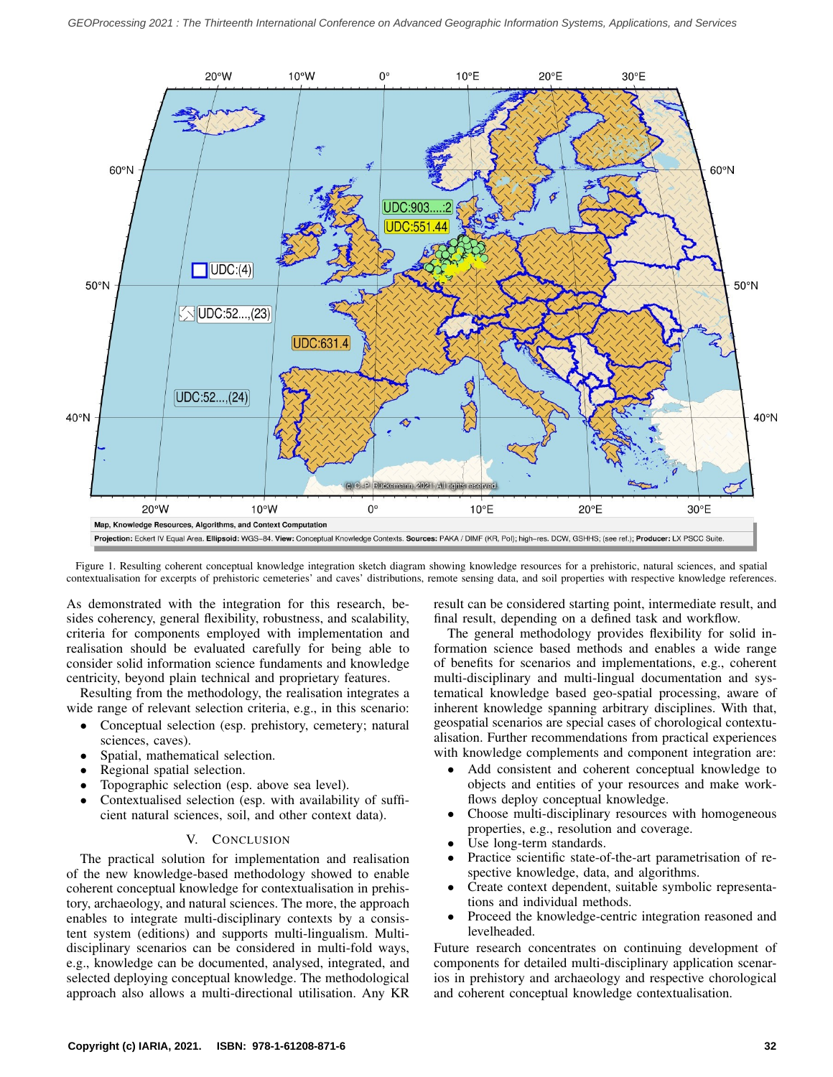<span id="page-4-0"></span>

Figure 1. Resulting coherent conceptual knowledge integration sketch diagram showing knowledge resources for a prehistoric, natural sciences, and spatial contextualisation for excerpts of prehistoric cemeteries' and caves' distributions, remote sensing data, and soil properties with respective knowledge references.

As demonstrated with the integration for this research, besides coherency, general flexibility, robustness, and scalability, criteria for components employed with implementation and realisation should be evaluated carefully for being able to consider solid information science fundaments and knowledge centricity, beyond plain technical and proprietary features.

Resulting from the methodology, the realisation integrates a wide range of relevant selection criteria, e.g., in this scenario:

- Conceptual selection (esp. prehistory, cemetery; natural sciences, caves).
- Spatial, mathematical selection.
- Regional spatial selection.
- Topographic selection (esp. above sea level).
- Contextualised selection (esp. with availability of sufficient natural sciences, soil, and other context data).

# V. CONCLUSION

The practical solution for implementation and realisation of the new knowledge-based methodology showed to enable coherent conceptual knowledge for contextualisation in prehistory, archaeology, and natural sciences. The more, the approach enables to integrate multi-disciplinary contexts by a consistent system (editions) and supports multi-lingualism. Multidisciplinary scenarios can be considered in multi-fold ways, e.g., knowledge can be documented, analysed, integrated, and selected deploying conceptual knowledge. The methodological approach also allows a multi-directional utilisation. Any KR result can be considered starting point, intermediate result, and final result, depending on a defined task and workflow.

The general methodology provides flexibility for solid information science based methods and enables a wide range of benefits for scenarios and implementations, e.g., coherent multi-disciplinary and multi-lingual documentation and systematical knowledge based geo-spatial processing, aware of inherent knowledge spanning arbitrary disciplines. With that, geospatial scenarios are special cases of chorological contextualisation. Further recommendations from practical experiences with knowledge complements and component integration are:

- Add consistent and coherent conceptual knowledge to objects and entities of your resources and make workflows deploy conceptual knowledge.
- Choose multi-disciplinary resources with homogeneous properties, e.g., resolution and coverage.
- Use long-term standards.
- Practice scientific state-of-the-art parametrisation of respective knowledge, data, and algorithms.
- Create context dependent, suitable symbolic representations and individual methods.
- Proceed the knowledge-centric integration reasoned and levelheaded.

Future research concentrates on continuing development of components for detailed multi-disciplinary application scenarios in prehistory and archaeology and respective chorological and coherent conceptual knowledge contextualisation.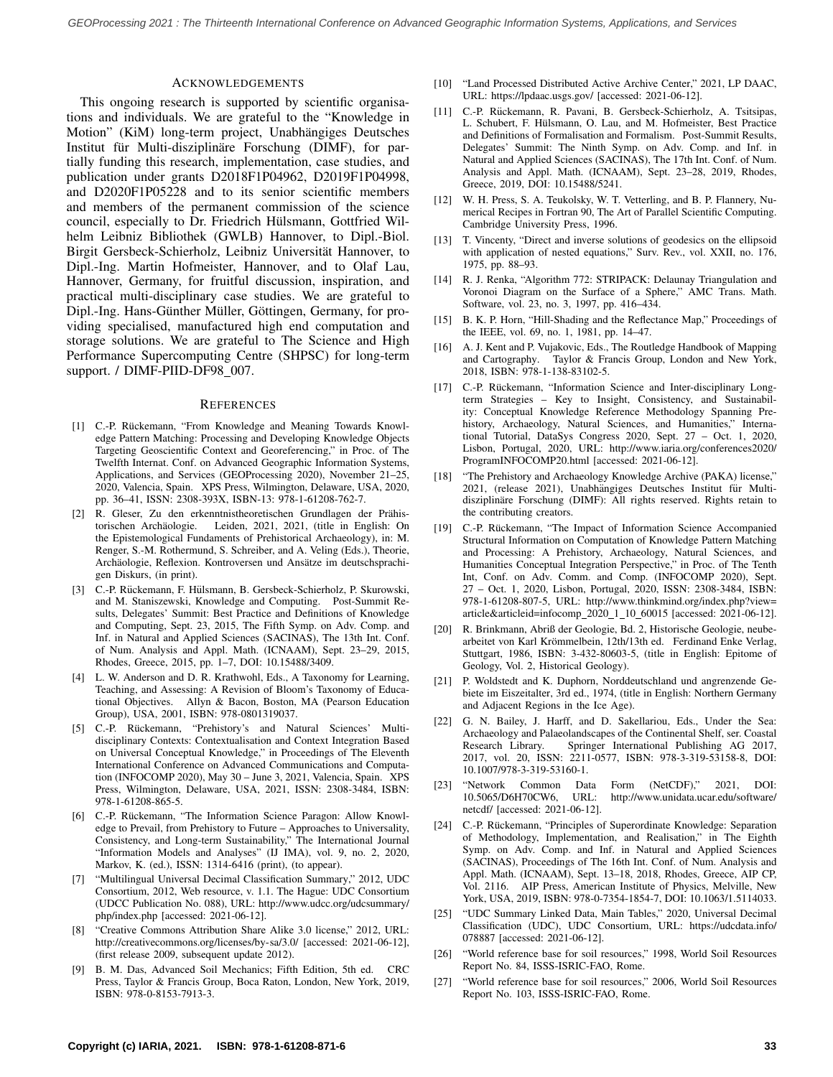### ACKNOWLEDGEMENTS

This ongoing research is supported by scientific organisations and individuals. We are grateful to the "Knowledge in Motion" (KiM) long-term project, Unabhängiges Deutsches Institut für Multi-disziplinäre Forschung (DIMF), for partially funding this research, implementation, case studies, and publication under grants D2018F1P04962, D2019F1P04998, and D2020F1P05228 and to its senior scientific members and members of the permanent commission of the science council, especially to Dr. Friedrich Hülsmann, Gottfried Wilhelm Leibniz Bibliothek (GWLB) Hannover, to Dipl.-Biol. Birgit Gersbeck-Schierholz, Leibniz Universitat Hannover, to ¨ Dipl.-Ing. Martin Hofmeister, Hannover, and to Olaf Lau, Hannover, Germany, for fruitful discussion, inspiration, and practical multi-disciplinary case studies. We are grateful to Dipl.-Ing. Hans-Günther Müller, Göttingen, Germany, for providing specialised, manufactured high end computation and storage solutions. We are grateful to The Science and High Performance Supercomputing Centre (SHPSC) for long-term support. / DIMF-PIID-DF98\_007.

#### **REFERENCES**

- <span id="page-5-0"></span>[1] C.-P. Rückemann, "From Knowledge and Meaning Towards Knowledge Pattern Matching: Processing and Developing Knowledge Objects Targeting Geoscientific Context and Georeferencing," in Proc. of The Twelfth Internat. Conf. on Advanced Geographic Information Systems, Applications, and Services (GEOProcessing 2020), November 21–25, 2020, Valencia, Spain. XPS Press, Wilmington, Delaware, USA, 2020, pp. 36–41, ISSN: 2308-393X, ISBN-13: 978-1-61208-762-7.
- <span id="page-5-1"></span>[2] R. Gleser, Zu den erkenntnistheoretischen Grundlagen der Prähistorischen Archäologie. Leiden, 2021, 2021, (title in English: On the Epistemological Fundaments of Prehistorical Archaeology), in: M. Renger, S.-M. Rothermund, S. Schreiber, and A. Veling (Eds.), Theorie, Archäologie, Reflexion. Kontroversen und Ansätze im deutschsprachigen Diskurs, (in print).
- <span id="page-5-2"></span>[3] C.-P. Rückemann, F. Hülsmann, B. Gersbeck-Schierholz, P. Skurowski, and M. Staniszewski, Knowledge and Computing. Post-Summit Results, Delegates' Summit: Best Practice and Definitions of Knowledge and Computing, Sept. 23, 2015, The Fifth Symp. on Adv. Comp. and Inf. in Natural and Applied Sciences (SACINAS), The 13th Int. Conf. of Num. Analysis and Appl. Math. (ICNAAM), Sept. 23–29, 2015, Rhodes, Greece, 2015, pp. 1–7, DOI: 10.15488/3409.
- <span id="page-5-3"></span>[4] L. W. Anderson and D. R. Krathwohl, Eds., A Taxonomy for Learning, Teaching, and Assessing: A Revision of Bloom's Taxonomy of Educational Objectives. Allyn & Bacon, Boston, MA (Pearson Education Group), USA, 2001, ISBN: 978-0801319037.
- <span id="page-5-4"></span>[5] C.-P. Rückemann, "Prehistory's and Natural Sciences' Multidisciplinary Contexts: Contextualisation and Context Integration Based on Universal Conceptual Knowledge," in Proceedings of The Eleventh International Conference on Advanced Communications and Computation (INFOCOMP 2020), May 30 – June 3, 2021, Valencia, Spain. XPS Press, Wilmington, Delaware, USA, 2021, ISSN: 2308-3484, ISBN: 978-1-61208-865-5.
- <span id="page-5-5"></span>[6] C.-P. Rückemann, "The Information Science Paragon: Allow Knowledge to Prevail, from Prehistory to Future – Approaches to Universality, Consistency, and Long-term Sustainability," The International Journal "Information Models and Analyses" (IJ IMA), vol. 9, no. 2, 2020, Markov, K. (ed.), ISSN: 1314-6416 (print), (to appear).
- <span id="page-5-6"></span>[7] "Multilingual Universal Decimal Classification Summary," 2012, UDC Consortium, 2012, Web resource, v. 1.1. The Hague: UDC Consortium (UDCC Publication No. 088), URL: [http://www.udcc.org/udcsummary/](http://www.udcc.org/udcsummary/php/index.php) [php/index.php](http://www.udcc.org/udcsummary/php/index.php) [accessed: 2021-06-12].
- <span id="page-5-7"></span>[8] "Creative Commons Attribution Share Alike 3.0 license," 2012, URL: <http://creativecommons.org/licenses/by-sa/3.0/> [accessed: 2021-06-12], (first release 2009, subsequent update 2012).
- <span id="page-5-8"></span>[9] B. M. Das, Advanced Soil Mechanics; Fifth Edition, 5th ed. CRC Press, Taylor & Francis Group, Boca Raton, London, New York, 2019, ISBN: 978-0-8153-7913-3.
- <span id="page-5-9"></span>[10] "Land Processed Distributed Active Archive Center," 2021, LP DAAC, URL:<https://lpdaac.usgs.gov/> [accessed: 2021-06-12].
- <span id="page-5-10"></span>[11] C.-P. Rückemann, R. Pavani, B. Gersbeck-Schierholz, A. Tsitsipas, L. Schubert, F. Hülsmann, O. Lau, and M. Hofmeister, Best Practice and Definitions of Formalisation and Formalism. Post-Summit Results, Delegates' Summit: The Ninth Symp. on Adv. Comp. and Inf. in Natural and Applied Sciences (SACINAS), The 17th Int. Conf. of Num. Analysis and Appl. Math. (ICNAAM), Sept. 23–28, 2019, Rhodes, Greece, 2019, DOI: 10.15488/5241.
- <span id="page-5-11"></span>[12] W. H. Press, S. A. Teukolsky, W. T. Vetterling, and B. P. Flannery, Numerical Recipes in Fortran 90, The Art of Parallel Scientific Computing. Cambridge University Press, 1996.
- <span id="page-5-12"></span>[13] T. Vincenty, "Direct and inverse solutions of geodesics on the ellipsoid with application of nested equations," Surv. Rev., vol. XXII, no. 176, 1975, pp. 88–93.
- <span id="page-5-13"></span>[14] R. J. Renka, "Algorithm 772: STRIPACK: Delaunay Triangulation and Voronoi Diagram on the Surface of a Sphere," AMC Trans. Math. Software, vol. 23, no. 3, 1997, pp. 416–434.
- <span id="page-5-14"></span>[15] B. K. P. Horn, "Hill-Shading and the Reflectance Map," Proceedings of the IEEE, vol. 69, no. 1, 1981, pp. 14–47.
- <span id="page-5-15"></span>[16] A. J. Kent and P. Vujakovic, Eds., The Routledge Handbook of Mapping and Cartography. Taylor & Francis Group, London and New York, 2018, ISBN: 978-1-138-83102-5.
- <span id="page-5-16"></span>[17] C.-P. Rückemann, "Information Science and Inter-disciplinary Longterm Strategies – Key to Insight, Consistency, and Sustainability: Conceptual Knowledge Reference Methodology Spanning Prehistory, Archaeology, Natural Sciences, and Humanities," International Tutorial, DataSys Congress 2020, Sept. 27 – Oct. 1, 2020, Lisbon, Portugal, 2020, URL: [http://www.iaria.org/conferences2020/](http://www.iaria.org/conferences2020/ProgramINFOCOMP20.html) [ProgramINFOCOMP20.html](http://www.iaria.org/conferences2020/ProgramINFOCOMP20.html) [accessed: 2021-06-12].
- <span id="page-5-17"></span>[18] "The Prehistory and Archaeology Knowledge Archive (PAKA) license," 2021, (release 2021), Unabhängiges Deutsches Institut für Multidisziplinäre Forschung (DIMF): All rights reserved. Rights retain to the contributing creators.
- <span id="page-5-18"></span>[19] C.-P. Rückemann, "The Impact of Information Science Accompanied Structural Information on Computation of Knowledge Pattern Matching and Processing: A Prehistory, Archaeology, Natural Sciences, and Humanities Conceptual Integration Perspective," in Proc. of The Tenth Int, Conf. on Adv. Comm. and Comp. (INFOCOMP 2020), Sept. 27 – Oct. 1, 2020, Lisbon, Portugal, 2020, ISSN: 2308-3484, ISBN: 978-1-61208-807-5, URL: [http://www.thinkmind.org/index.php?view=](http://www.thinkmind.org/index.php?view=article&articleid=infocomp_2020_1_10_60015) [article&articleid=infocomp](http://www.thinkmind.org/index.php?view=article&articleid=infocomp_2020_1_10_60015) 2020 1 10 60015 [accessed: 2021-06-12].
- <span id="page-5-19"></span>[20] R. Brinkmann, Abriß der Geologie, Bd. 2, Historische Geologie, neubearbeitet von Karl Krömmelbein, 12th/13th ed. Ferdinand Enke Verlag, Stuttgart, 1986, ISBN: 3-432-80603-5, (title in English: Epitome of Geology, Vol. 2, Historical Geology).
- <span id="page-5-20"></span>[21] P. Woldstedt and K. Duphorn, Norddeutschland und angrenzende Gebiete im Eiszeitalter, 3rd ed., 1974, (title in English: Northern Germany and Adjacent Regions in the Ice Age).
- <span id="page-5-21"></span>[22] G. N. Bailey, J. Harff, and D. Sakellariou, Eds., Under the Sea: Archaeology and Palaeolandscapes of the Continental Shelf, ser. Coastal<br>Research Library. Springer International Publishing AG 2017, Springer International Publishing AG 2017, 2017, vol. 20, ISSN: 2211-0577, ISBN: 978-3-319-53158-8, DOI: 10.1007/978-3-319-53160-1.
- <span id="page-5-22"></span>[23] "Network Common Data Form (NetCDF)," 2021, DOI: http://www.unidata.ucar.edu/software/ [netcdf/](http://www.unidata.ucar.edu/software/netcdf/) [accessed: 2021-06-12].
- <span id="page-5-23"></span>[24] C.-P. Rückemann, "Principles of Superordinate Knowledge: Separation of Methodology, Implementation, and Realisation," in The Eighth Symp. on Adv. Comp. and Inf. in Natural and Applied Sciences (SACINAS), Proceedings of The 16th Int. Conf. of Num. Analysis and Appl. Math. (ICNAAM), Sept. 13–18, 2018, Rhodes, Greece, AIP CP, Vol. 2116. AIP Press, American Institute of Physics, Melville, New York, USA, 2019, ISBN: 978-0-7354-1854-7, DOI: 10.1063/1.5114033.
- <span id="page-5-24"></span>[25] "UDC Summary Linked Data, Main Tables," 2020, Universal Decimal Classification (UDC), UDC Consortium, URL: [https://udcdata.info/](https://udcdata.info/078887) [078887](https://udcdata.info/078887) [accessed: 2021-06-12].
- <span id="page-5-25"></span>[26] "World reference base for soil resources," 1998, World Soil Resources Report No. 84, ISSS-ISRIC-FAO, Rome.
- <span id="page-5-26"></span>[27] "World reference base for soil resources," 2006, World Soil Resources Report No. 103, ISSS-ISRIC-FAO, Rome.